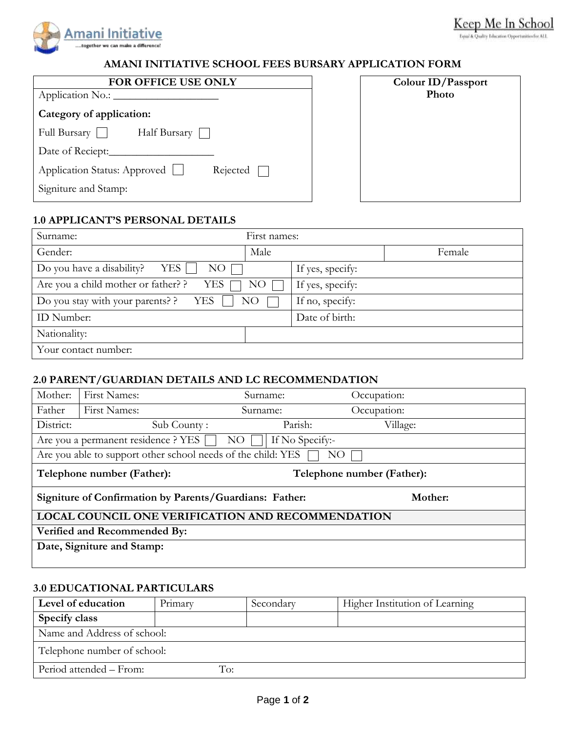

#### s for ALL

### **AMANI INITIATIVE SCHOOL FEES BURSARY APPLICATION FORM**

| FOR OFFICE USE ONLY                      | Colour ID/Passport |
|------------------------------------------|--------------------|
| Application No.:                         | Photo              |
| Category of application:                 |                    |
| Half Bursary    <br>Full Bursary         |                    |
| Date of Reciept:                         |                    |
| Application Status: Approved<br>Rejected |                    |
| Signiture and Stamp:                     |                    |

| Colour ID/Passport<br>Photo |
|-----------------------------|
|                             |
|                             |
|                             |
|                             |
|                             |
|                             |
|                             |
|                             |
|                             |
|                             |
|                             |
|                             |
|                             |
|                             |
|                             |
|                             |
|                             |
|                             |
|                             |

# **1.0 APPLICANT'S PERSONAL DETAILS**

| Surname:                                   | First names:    |                  |        |
|--------------------------------------------|-----------------|------------------|--------|
| Gender:                                    | Male            |                  | Female |
| Do you have a disability?<br>YES  <br>NO   |                 | If yes, specify: |        |
| Are you a child mother or father? ?<br>YES | NO.             | If yes, specify: |        |
| Do you stay with your parents? ?<br>YES    | NO <sub>1</sub> | If no, specify:  |        |
| ID Number:                                 |                 | Date of birth:   |        |
| Nationality:                               |                 |                  |        |
| Your contact number:                       |                 |                  |        |

## **2.0 PARENT/GUARDIAN DETAILS AND LC RECOMMENDATION**

| Mother:                                                 | <b>First Names:</b>                                          | Surname:                   | Occupation: |
|---------------------------------------------------------|--------------------------------------------------------------|----------------------------|-------------|
| Father                                                  | First Names:                                                 | Surname:                   | Occupation: |
| District:                                               | Sub County:                                                  | Parish:                    | Village:    |
|                                                         | Are you a permanent residence ? YES                          | If No Specify:-<br>NO.     |             |
|                                                         | Are you able to support other school needs of the child: YES | NΟ                         |             |
| Telephone number (Father):                              |                                                              | Telephone number (Father): |             |
| Signiture of Confirmation by Parents/Guardians: Father: |                                                              |                            | Mother:     |
| LOCAL COUNCIL ONE VERIFICATION AND RECOMMENDATION       |                                                              |                            |             |
| Verified and Recommended By:                            |                                                              |                            |             |
|                                                         | Date, Signiture and Stamp:                                   |                            |             |
|                                                         |                                                              |                            |             |

### **3.0 EDUCATIONAL PARTICULARS**

| Level of education          | Primary | Secondary | Higher Institution of Learning |
|-----------------------------|---------|-----------|--------------------------------|
| Specify class               |         |           |                                |
| Name and Address of school: |         |           |                                |
| Telephone number of school: |         |           |                                |
| Period attended – From:     | To:     |           |                                |